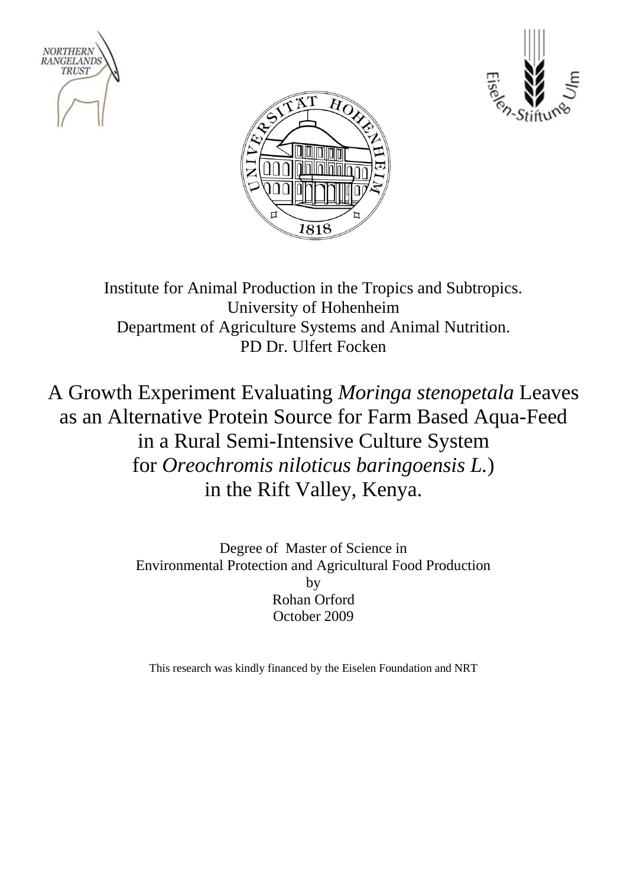





Institute for Animal Production in the Tropics and Subtropics. University of Hohenheim Department of Agriculture Systems and Animal Nutrition. PD Dr. Ulfert Focken

A Growth Experiment Evaluating *Moringa stenopetala* Leaves as an Alternative Protein Source for Farm Based Aqua-Feed in a Rural Semi-Intensive Culture System for *Oreochromis niloticus baringoensis L.*) in the Rift Valley, Kenya.

> Degree of Master of Science in Environmental Protection and Agricultural Food Production by Rohan Orford October 2009

This research was kindly financed by the Eiselen Foundation and NRT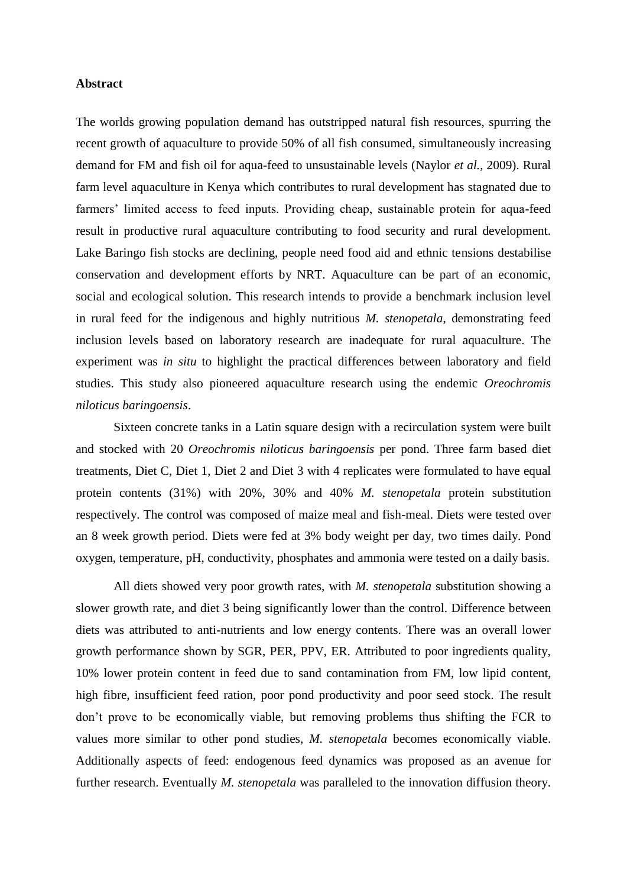## **Abstract**

The worlds growing population demand has outstripped natural fish resources, spurring the recent growth of aquaculture to provide 50% of all fish consumed, simultaneously increasing demand for FM and fish oil for aqua-feed to unsustainable levels (Naylor *et al.*, 2009). Rural farm level aquaculture in Kenya which contributes to rural development has stagnated due to farmers' limited access to feed inputs. Providing cheap, sustainable protein for aqua-feed result in productive rural aquaculture contributing to food security and rural development. Lake Baringo fish stocks are declining, people need food aid and ethnic tensions destabilise conservation and development efforts by NRT. Aquaculture can be part of an economic, social and ecological solution. This research intends to provide a benchmark inclusion level in rural feed for the indigenous and highly nutritious *M. stenopetala*, demonstrating feed inclusion levels based on laboratory research are inadequate for rural aquaculture. The experiment was *in situ* to highlight the practical differences between laboratory and field studies. This study also pioneered aquaculture research using the endemic *Oreochromis niloticus baringoensis*.

Sixteen concrete tanks in a Latin square design with a recirculation system were built and stocked with 20 *Oreochromis niloticus baringoensis* per pond. Three farm based diet treatments, Diet C, Diet 1, Diet 2 and Diet 3 with 4 replicates were formulated to have equal protein contents (31%) with 20%, 30% and 40% *M. stenopetala* protein substitution respectively. The control was composed of maize meal and fish-meal. Diets were tested over an 8 week growth period. Diets were fed at 3% body weight per day, two times daily. Pond oxygen, temperature, pH, conductivity, phosphates and ammonia were tested on a daily basis.

All diets showed very poor growth rates, with *M. stenopetala* substitution showing a slower growth rate, and diet 3 being significantly lower than the control. Difference between diets was attributed to anti-nutrients and low energy contents. There was an overall lower growth performance shown by SGR, PER, PPV, ER. Attributed to poor ingredients quality, 10% lower protein content in feed due to sand contamination from FM, low lipid content, high fibre, insufficient feed ration, poor pond productivity and poor seed stock. The result don't prove to be economically viable, but removing problems thus shifting the FCR to values more similar to other pond studies, *M. stenopetala* becomes economically viable. Additionally aspects of feed: endogenous feed dynamics was proposed as an avenue for further research. Eventually *M. stenopetala* was paralleled to the innovation diffusion theory.